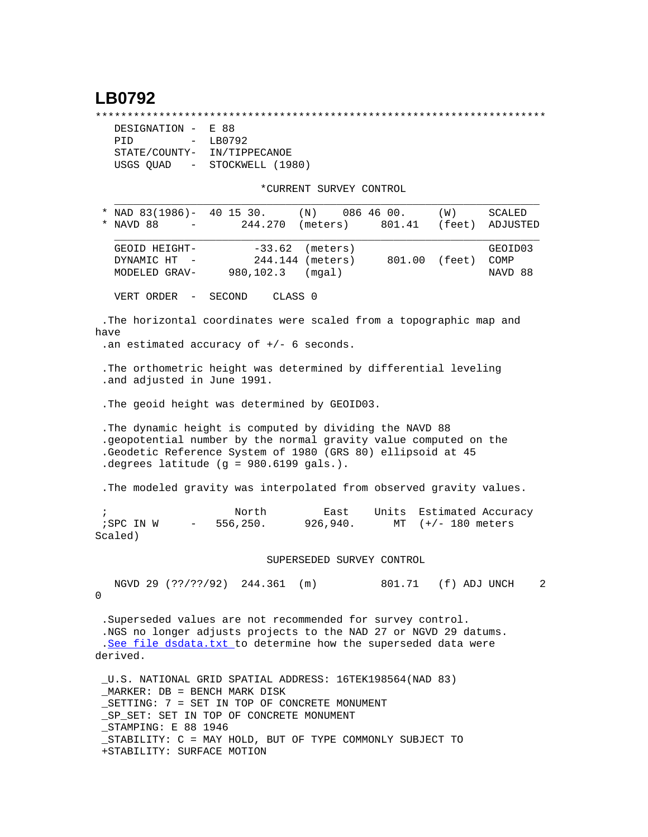## **LB0792**

\*\*\*\*\*\*\*\*\*\*\*\*\*\*\*\*\*\*\*\*\*\*\*\*\*\*\*\*\*\*\*\*\*\*\*\*\*\*\*\*\*\*\*\*\*\*\*\*\*\*\*\*\*\*\*\*\*\*\*\*\*\*\*\*\*\*\*\*\*\*\*

| DESIGNATION -                         | E 88             |
|---------------------------------------|------------------|
| PTD<br>$\sim$                         | LB0792           |
| STATE/COUNTY-                         | IN/TIPPECANOE    |
| USGS OUAD<br>$\alpha_{\rm{max}}=0.01$ | STOCKWELL (1980) |

\*CURRENT SURVEY CONTROL

| * NAD 83(1986)- 40 15 30. (N) 086 46 00.                                                                                                                                                                                              |                      |                                                     |                                     | (W)               | SCALED                     |
|---------------------------------------------------------------------------------------------------------------------------------------------------------------------------------------------------------------------------------------|----------------------|-----------------------------------------------------|-------------------------------------|-------------------|----------------------------|
| NAVD 88 -                                                                                                                                                                                                                             | 244.270              | (meters)                                            | 801.41                              | (feet)            | ADJUSTED                   |
| GEOID HEIGHT-<br>DYNAMIC HT -<br>MODELED GRAV- 980,102.3 (mgal)                                                                                                                                                                       |                      | $-33.62$ (meters)<br>244.144 (meters) 801.00 (feet) |                                     |                   | GEOID03<br>COMP<br>NAVD 88 |
| VERT ORDER - SECOND                                                                                                                                                                                                                   |                      | CLASS 0                                             |                                     |                   |                            |
| . The horizontal coordinates were scaled from a topographic map and<br>have<br>.an estimated accuracy of $+/-$ 6 seconds.                                                                                                             |                      |                                                     |                                     |                   |                            |
| The orthometric height was determined by differential leveling<br>.and adjusted in June 1991.                                                                                                                                         |                      |                                                     |                                     |                   |                            |
| . The geoid height was determined by GEOID03.                                                                                                                                                                                         |                      |                                                     |                                     |                   |                            |
| The dynamic height is computed by dividing the NAVD 88<br>.geopotential number by the normal gravity value computed on the<br>.Geodetic Reference System of 1980 (GRS 80) ellipsoid at 45<br>degrees latitude (g = $980.6199$ gals.). |                      |                                                     |                                     |                   |                            |
| . The modeled gravity was interpolated from observed gravity values.                                                                                                                                                                  |                      |                                                     |                                     |                   |                            |
| $\ddot{i}$<br>; SPC IN W<br>Scaled)                                                                                                                                                                                                   | North<br>$-556,250.$ | 926,940.                                            | East Units Estimated Accuracy<br>MT | $(+/- 180$ meters |                            |

SUPERSEDED SURVEY CONTROL

 NGVD 29 (??/??/92) 244.361 (m) 801.71 (f) ADJ UNCH 2  $\Omega$ 

 .Superseded values are not recommended for survey control. .NGS no longer adjusts projects to the NAD 27 or NGVD 29 datums. .[See file dsdata.txt](http://www.ngs.noaa.gov/cgi-bin/ds_lookup.prl?Item=HOW_SUP_DET) to determine how the superseded data were derived.

 \_U.S. NATIONAL GRID SPATIAL ADDRESS: 16TEK198564(NAD 83) \_MARKER: DB = BENCH MARK DISK \_SETTING: 7 = SET IN TOP OF CONCRETE MONUMENT \_SP\_SET: SET IN TOP OF CONCRETE MONUMENT \_STAMPING: E 88 1946 \_STABILITY: C = MAY HOLD, BUT OF TYPE COMMONLY SUBJECT TO +STABILITY: SURFACE MOTION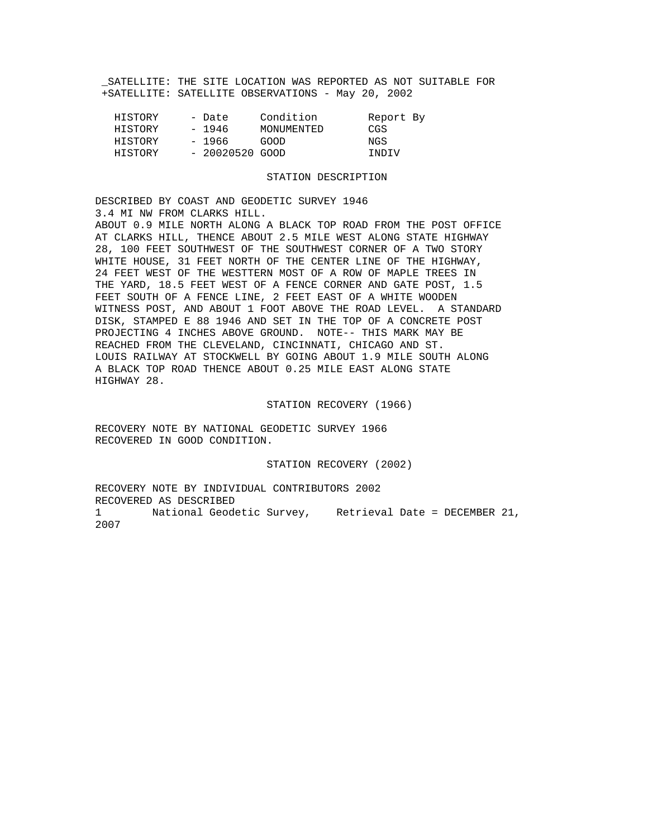SATELLITE: THE SITE LOCATION WAS REPORTED AS NOT SUITABLE FOR +SATELLITE: SATELLITE OBSERVATIONS - May 20, 2002

| HISTORY | - Date           | Condition  | Report By |  |
|---------|------------------|------------|-----------|--|
| HISTORY | - 1946           | MONUMENTED | CGS       |  |
| HISTORY | - 1966           | GOOD       | NGS       |  |
| HISTORY | $-20020520$ GOOD |            | TNDTV     |  |

## STATION DESCRIPTION

DESCRIBED BY COAST AND GEODETIC SURVEY 1946 3.4 MI NW FROM CLARKS HILL.

ABOUT 0.9 MILE NORTH ALONG A BLACK TOP ROAD FROM THE POST OFFICE AT CLARKS HILL, THENCE ABOUT 2.5 MILE WEST ALONG STATE HIGHWAY 28, 100 FEET SOUTHWEST OF THE SOUTHWEST CORNER OF A TWO STORY WHITE HOUSE, 31 FEET NORTH OF THE CENTER LINE OF THE HIGHWAY, 24 FEET WEST OF THE WESTTERN MOST OF A ROW OF MAPLE TREES IN THE YARD, 18.5 FEET WEST OF A FENCE CORNER AND GATE POST, 1.5 FEET SOUTH OF A FENCE LINE, 2 FEET EAST OF A WHITE WOODEN WITNESS POST, AND ABOUT 1 FOOT ABOVE THE ROAD LEVEL. A STANDARD DISK, STAMPED E 88 1946 AND SET IN THE TOP OF A CONCRETE POST PROJECTING 4 INCHES ABOVE GROUND. NOTE-- THIS MARK MAY BE REACHED FROM THE CLEVELAND, CINCINNATI, CHICAGO AND ST. LOUIS RAILWAY AT STOCKWELL BY GOING ABOUT 1.9 MILE SOUTH ALONG A BLACK TOP ROAD THENCE ABOUT 0.25 MILE EAST ALONG STATE HIGHWAY 28.

## STATION RECOVERY (1966)

RECOVERY NOTE BY NATIONAL GEODETIC SURVEY 1966 RECOVERED IN GOOD CONDITION.

## STATION RECOVERY (2002)

RECOVERY NOTE BY INDIVIDUAL CONTRIBUTORS 2002 RECOVERED AS DESCRIBED 1 National Geodetic Survey, Retrieval Date = DECEMBER 21, 2007